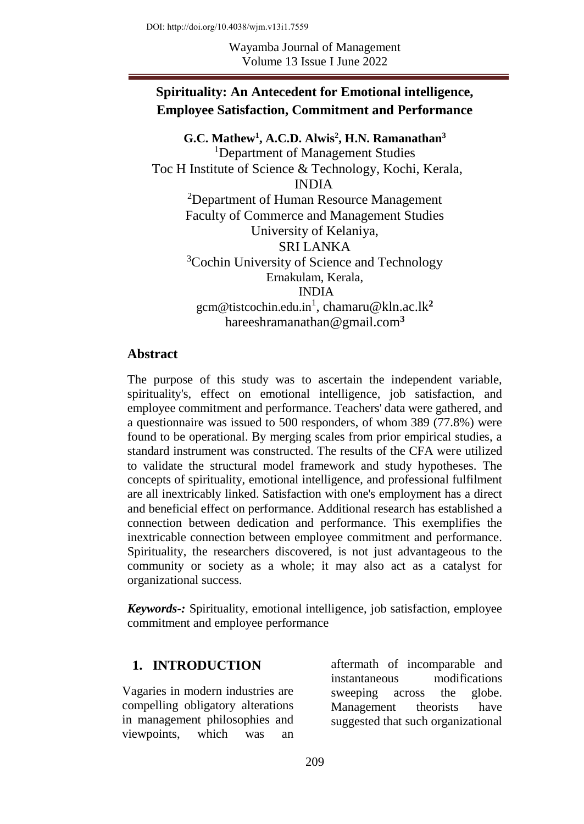DOI: http://doi.org/10.4038/wjm.v13i1.7559

Wayamba Journal of Management Volume 13 Issue I June 2022

## **Spirituality: An Antecedent for Emotional intelligence, Employee Satisfaction, Commitment and Performance**

**G.C. Mathew<sup>1</sup> , A.C.D. Alwis<sup>2</sup> , H.N. Ramanathan<sup>3</sup>** <sup>1</sup>Department of Management Studies Toc H Institute of Science & Technology, Kochi, Kerala, INDIA <sup>2</sup>Department of Human Resource Management Faculty of Commerce and Management Studies University of Kelaniya, SRI LANKA <sup>3</sup>Cochin University of Science and Technology Ernakulam, Kerala, INDIA gcm@tistcochin.edu.in<sup>1</sup> , chamaru@kln.ac.lk**<sup>2</sup>** hareeshramanathan@gmail.com**<sup>3</sup>**

### **Abstract**

The purpose of this study was to ascertain the independent variable, spirituality's, effect on emotional intelligence, job satisfaction, and employee commitment and performance. Teachers' data were gathered, and a questionnaire was issued to 500 responders, of whom 389 (77.8%) were found to be operational. By merging scales from prior empirical studies, a standard instrument was constructed. The results of the CFA were utilized to validate the structural model framework and study hypotheses. The concepts of spirituality, emotional intelligence, and professional fulfilment are all inextricably linked. Satisfaction with one's employment has a direct and beneficial effect on performance. Additional research has established a connection between dedication and performance. This exemplifies the inextricable connection between employee commitment and performance. Spirituality, the researchers discovered, is not just advantageous to the community or society as a whole; it may also act as a catalyst for organizational success.

*Keywords-:* Spirituality, emotional intelligence, job satisfaction, employee commitment and employee performance

### **1. INTRODUCTION**

Vagaries in modern industries are compelling obligatory alterations in management philosophies and viewpoints, which was an aftermath of incomparable and instantaneous modifications sweeping across the globe. Management theorists have suggested that such organizational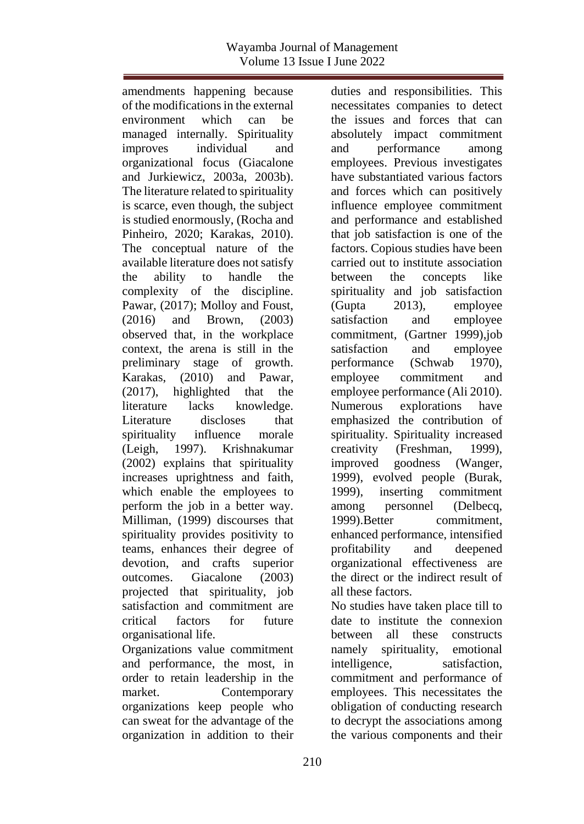amendments happening because of the modifications in the external environment which can be managed internally. Spirituality improves individual and organizational focus (Giacalone and Jurkiewicz, 2003a, 2003b). The literature related to spirituality is scarce, even though, the subject is studied enormously, (Rocha and Pinheiro, 2020; Karakas, 2010). The conceptual nature of the available literature does not satisfy the ability to handle the complexity of the discipline. Pawar, (2017); Molloy and Foust, (2016) and Brown, (2003) observed that, in the workplace context, the arena is still in the preliminary stage of growth. Karakas, (2010) and Pawar, (2017), highlighted that the literature lacks knowledge. Literature discloses that spirituality influence morale (Leigh, 1997). Krishnakumar (2002) explains that spirituality increases uprightness and faith, which enable the employees to perform the job in a better way. Milliman, (1999) discourses that spirituality provides positivity to teams, enhances their degree of devotion, and crafts superior outcomes. Giacalone (2003) projected that spirituality, job satisfaction and commitment are critical factors for future organisational life.

Organizations value commitment and performance, the most, in order to retain leadership in the market. Contemporary organizations keep people who can sweat for the advantage of the organization in addition to their duties and responsibilities. This necessitates companies to detect the issues and forces that can absolutely impact commitment and performance among employees. Previous investigates have substantiated various factors and forces which can positively influence employee commitment and performance and established that job satisfaction is one of the factors. Copious studies have been carried out to institute association between the concepts like spirituality and job satisfaction (Gupta 2013), employee satisfaction and employee commitment, (Gartner 1999),job satisfaction and employee performance (Schwab 1970), employee commitment and employee performance (Ali 2010). Numerous explorations have emphasized the contribution of spirituality. Spirituality increased creativity (Freshman, 1999), improved goodness (Wanger, 1999), evolved people (Burak, 1999), inserting commitment among personnel (Delbecq, 1999).Better commitment, enhanced performance, intensified profitability and deepened organizational effectiveness are the direct or the indirect result of all these factors. No studies have taken place till to date to institute the connexion between all these constructs namely spirituality, emotional intelligence, satisfaction, commitment and performance of

employees. This necessitates the obligation of conducting research to decrypt the associations among the various components and their

210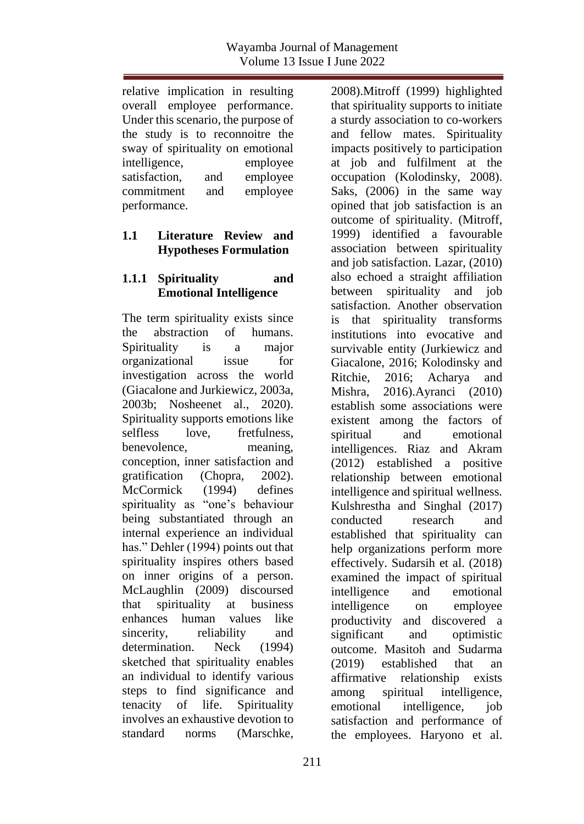relative implication in resulting overall employee performance. Under this scenario, the purpose of the study is to reconnoitre the sway of spirituality on emotional intelligence, employee satisfaction, and employee commitment and employee performance.

### **1.1 Literature Review and Hypotheses Formulation**

### **1.1.1 Spirituality and Emotional Intelligence**

The term spirituality exists since the abstraction of humans. Spirituality is a major organizational issue for investigation across the world (Giacalone and Jurkiewicz, 2003a, 2003b; Nosheenet al., 2020). Spirituality supports emotions like selfless love, fretfulness, benevolence, meaning, conception, inner satisfaction and gratification (Chopra, 2002). McCormick (1994) defines spirituality as "one's behaviour being substantiated through an internal experience an individual has." Dehler (1994) points out that spirituality inspires others based on inner origins of a person. McLaughlin (2009) discoursed that spirituality at business enhances human values like sincerity, reliability and determination. Neck (1994) sketched that spirituality enables an individual to identify various steps to find significance and tenacity of life. Spirituality involves an exhaustive devotion to standard norms (Marschke, 2008).Mitroff (1999) highlighted that spirituality supports to initiate a sturdy association to co-workers and fellow mates. Spirituality impacts positively to participation at job and fulfilment at the occupation (Kolodinsky, 2008). Saks, (2006) in the same way opined that job satisfaction is an outcome of spirituality. (Mitroff, 1999) identified a favourable association between spirituality and job satisfaction. Lazar, (2010) also echoed a straight affiliation between spirituality and job satisfaction. Another observation is that spirituality transforms institutions into evocative and survivable entity (Jurkiewicz and Giacalone, 2016; Kolodinsky and Ritchie, 2016; Acharya and Mishra, 2016).Ayranci (2010) establish some associations were existent among the factors of spiritual and emotional intelligences. Riaz and Akram (2012) established a positive relationship between emotional intelligence and spiritual wellness. Kulshrestha and Singhal (2017) conducted research and established that spirituality can help organizations perform more effectively. Sudarsih et al. (2018) examined the impact of spiritual intelligence and emotional intelligence on employee productivity and discovered a significant and optimistic outcome. Masitoh and Sudarma (2019) established that an affirmative relationship exists among spiritual intelligence, emotional intelligence, job satisfaction and performance of the employees. Haryono et al.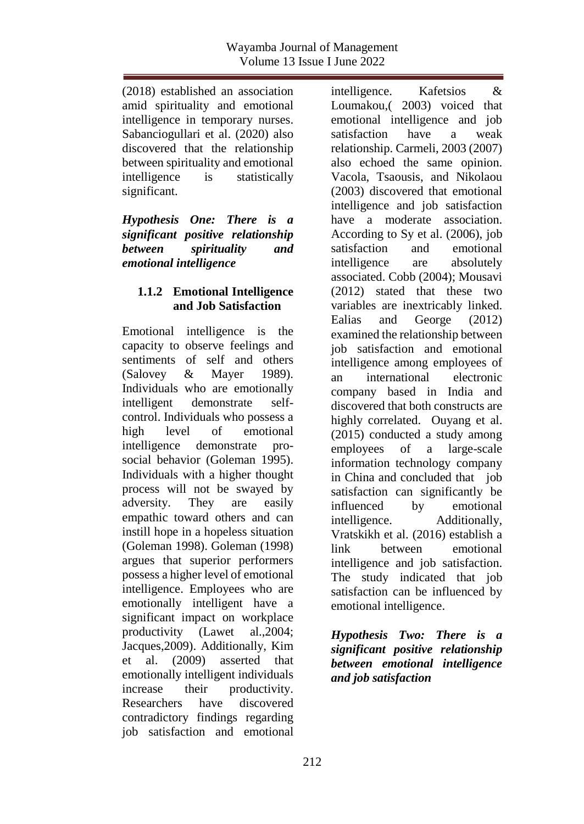(2018) established an association amid spirituality and emotional intelligence in temporary nurses. Sabanciogullari et al. (2020) also discovered that the relationship between spirituality and emotional intelligence is statistically significant.

### *Hypothesis One: There is a significant positive relationship between spirituality and emotional intelligence*

### **1.1.2 Emotional Intelligence and Job Satisfaction**

Emotional intelligence is the capacity to observe feelings and sentiments of self and others (Salovey & Mayer 1989). Individuals who are emotionally intelligent demonstrate selfcontrol. Individuals who possess a high level of emotional intelligence demonstrate prosocial behavior (Goleman 1995). Individuals with a higher thought process will not be swayed by adversity. They are easily empathic toward others and can instill hope in a hopeless situation (Goleman 1998). Goleman (1998) argues that superior performers possess a higher level of emotional intelligence. Employees who are emotionally intelligent have a significant impact on workplace productivity (Lawet al.,2004; Jacques,2009). Additionally, Kim et al. (2009) asserted that emotionally intelligent individuals increase their productivity. Researchers have discovered contradictory findings regarding job satisfaction and emotional

intelligence. Kafetsios & Loumakou,( 2003) voiced that emotional intelligence and job satisfaction have a weak relationship. Carmeli, 2003 (2007) also echoed the same opinion. Vacola, Tsaousis, and Nikolaou (2003) discovered that emotional intelligence and job satisfaction have a moderate association. According to Sy et al. (2006), job satisfaction and emotional intelligence are absolutely associated. Cobb (2004); Mousavi (2012) stated that these two variables are inextricably linked. Ealias and George (2012) examined the relationship between job satisfaction and emotional intelligence among employees of an international electronic company based in India and discovered that both constructs are highly correlated. Ouyang et al. (2015) conducted a study among employees of a large-scale information technology company in China and concluded that job satisfaction can significantly be influenced by emotional intelligence. Additionally, Vratskikh et al. (2016) establish a link between emotional intelligence and job satisfaction. The study indicated that job satisfaction can be influenced by emotional intelligence.

*Hypothesis Two: There is a significant positive relationship between emotional intelligence and job satisfaction*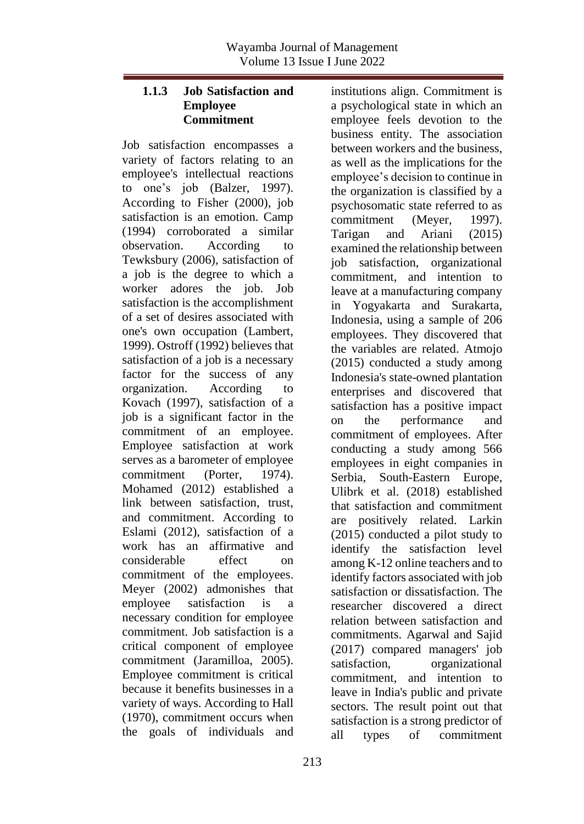#### **1.1.3 Job Satisfaction and Employee Commitment**

Job satisfaction encompasses a variety of factors relating to an employee's intellectual reactions to one's job (Balzer, 1997). According to Fisher (2000), job satisfaction is an emotion. Camp (1994) corroborated a similar observation. According to Tewksbury (2006), satisfaction of a job is the degree to which a worker adores the job. Job satisfaction is the accomplishment of a set of desires associated with one's own occupation (Lambert, 1999). Ostroff (1992) believes that satisfaction of a job is a necessary factor for the success of any organization. According to Kovach (1997), satisfaction of a job is a significant factor in the commitment of an employee. Employee satisfaction at work serves as a barometer of employee commitment (Porter, 1974). Mohamed (2012) established a link between satisfaction, trust, and commitment. According to Eslami (2012), satisfaction of a work has an affirmative and considerable effect on commitment of the employees. Meyer (2002) admonishes that employee satisfaction is a necessary condition for employee commitment. Job satisfaction is a critical component of employee commitment (Jaramilloa, 2005). Employee commitment is critical because it benefits businesses in a variety of ways. According to Hall (1970), commitment occurs when the goals of individuals and

institutions align. Commitment is a psychological state in which an employee feels devotion to the business entity. The association between workers and the business, as well as the implications for the employee's decision to continue in the organization is classified by a psychosomatic state referred to as commitment (Meyer, 1997). Tarigan and Ariani (2015) examined the relationship between job satisfaction, organizational commitment, and intention to leave at a manufacturing company in Yogyakarta and Surakarta, Indonesia, using a sample of 206 employees. They discovered that the variables are related. Atmojo (2015) conducted a study among Indonesia's state-owned plantation enterprises and discovered that satisfaction has a positive impact on the performance and commitment of employees. After conducting a study among 566 employees in eight companies in Serbia, South-Eastern Europe, Ulibrk et al. (2018) established that satisfaction and commitment are positively related. Larkin (2015) conducted a pilot study to identify the satisfaction level among K-12 online teachers and to identify factors associated with job satisfaction or dissatisfaction. The researcher discovered a direct relation between satisfaction and commitments. Agarwal and Sajid (2017) compared managers' job satisfaction, organizational commitment, and intention to leave in India's public and private sectors. The result point out that satisfaction is a strong predictor of all types of commitment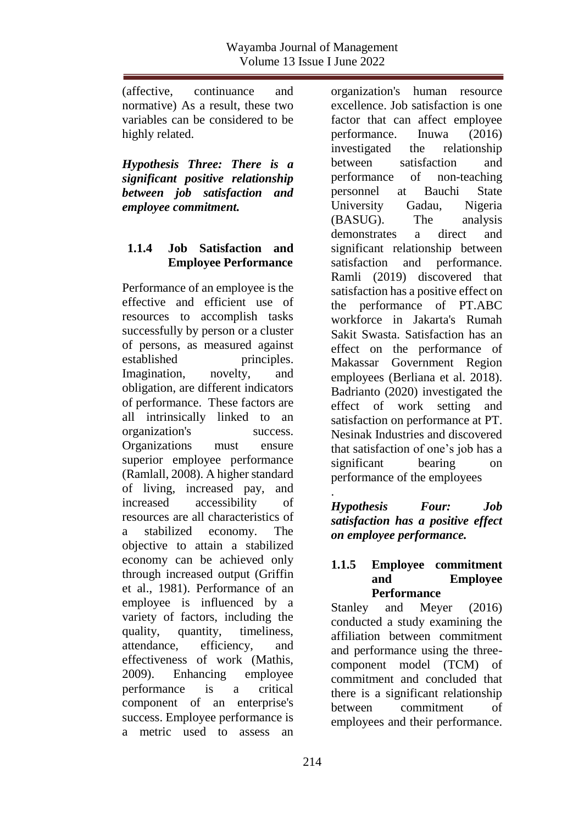(affective, continuance and normative) As a result, these two variables can be considered to be highly related.

*Hypothesis Three: There is a significant positive relationship between job satisfaction and employee commitment.*

## **1.1.4 Job Satisfaction and Employee Performance**

Performance of an employee is the effective and efficient use of resources to accomplish tasks successfully by person or a cluster of persons, as measured against established principles. Imagination, novelty, and obligation, are different indicators of performance. These factors are all intrinsically linked to an organization's success. Organizations must ensure superior employee performance (Ramlall, 2008). A higher standard of living, increased pay, and increased accessibility of resources are all characteristics of a stabilized economy. The objective to attain a stabilized economy can be achieved only through increased output (Griffin et al., 1981). Performance of an employee is influenced by a variety of factors, including the quality, quantity, timeliness, attendance, efficiency, and effectiveness of work (Mathis, 2009). Enhancing employee performance is a critical component of an enterprise's success. Employee performance is a metric used to assess an organization's human resource excellence. Job satisfaction is one factor that can affect employee performance. Inuwa (2016) investigated the relationship between satisfaction and performance of non-teaching personnel at Bauchi State University Gadau, Nigeria (BASUG). The analysis demonstrates a direct and significant relationship between satisfaction and performance. Ramli (2019) discovered that satisfaction has a positive effect on the performance of PT.ABC workforce in Jakarta's Rumah Sakit Swasta. Satisfaction has an effect on the performance of Makassar Government Region employees (Berliana et al. 2018). Badrianto (2020) investigated the effect of work setting and satisfaction on performance at PT. Nesinak Industries and discovered that satisfaction of one's job has a significant bearing on performance of the employees

*Hypothesis Four: Job satisfaction has a positive effect on employee performance.*

### **1.1.5 Employee commitment and Employee Performance**

Stanley and Meyer (2016) conducted a study examining the affiliation between commitment and performance using the threecomponent model (TCM) of commitment and concluded that there is a significant relationship between commitment of employees and their performance.

.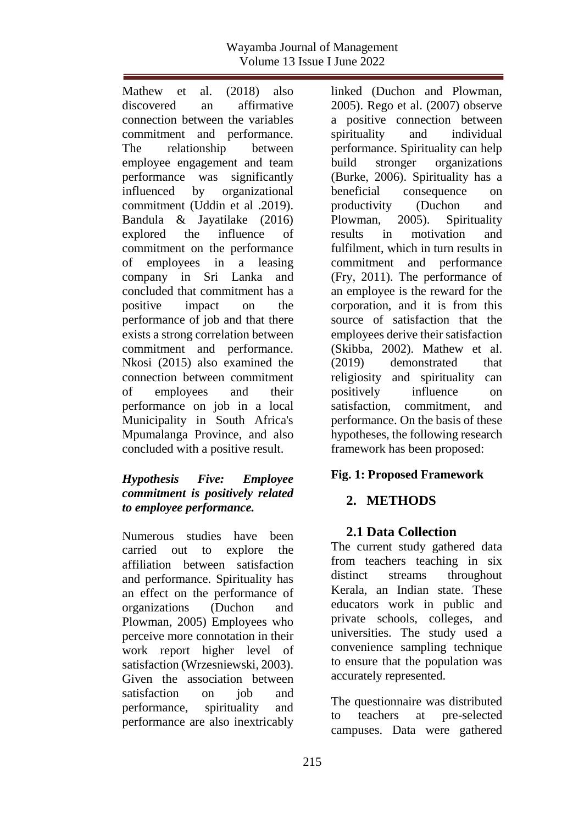Mathew et al. (2018) also discovered an affirmative connection between the variables commitment and performance. The relationship between employee engagement and team performance was significantly influenced by organizational commitment (Uddin et al .2019). Bandula & Jayatilake (2016) explored the influence of commitment on the performance of employees in a leasing company in Sri Lanka and concluded that commitment has a positive impact on the performance of job and that there exists a strong correlation between commitment and performance. Nkosi (2015) also examined the connection between commitment of employees and their performance on job in a local Municipality in South Africa's Mpumalanga Province, and also concluded with a positive result.

### *Hypothesis Five: Employee commitment is positively related to employee performance.*

Numerous studies have been carried out to explore the affiliation between satisfaction and performance. Spirituality has an effect on the performance of organizations (Duchon and Plowman, 2005) Employees who perceive more connotation in their work report higher level of satisfaction (Wrzesniewski, 2003). Given the association between satisfaction on job and performance, spirituality and performance are also inextricably linked (Duchon and Plowman, 2005). Rego et al. (2007) observe a positive connection between spirituality and individual performance. Spirituality can help build stronger organizations (Burke, 2006). Spirituality has a beneficial consequence on productivity (Duchon and Plowman, 2005). Spirituality results in motivation and fulfilment, which in turn results in commitment and performance (Fry, 2011). The performance of an employee is the reward for the corporation, and it is from this source of satisfaction that the employees derive their satisfaction (Skibba, 2002). Mathew et al. (2019) demonstrated that religiosity and spirituality can positively influence on satisfaction, commitment, and performance. On the basis of these hypotheses, the following research framework has been proposed:

# **Fig. 1: Proposed Framework**

# **2. METHODS**

# **2.1 Data Collection**

The current study gathered data from teachers teaching in six distinct streams throughout Kerala, an Indian state. These educators work in public and private schools, colleges, and universities. The study used a convenience sampling technique to ensure that the population was accurately represented.

The questionnaire was distributed to teachers at pre-selected campuses. Data were gathered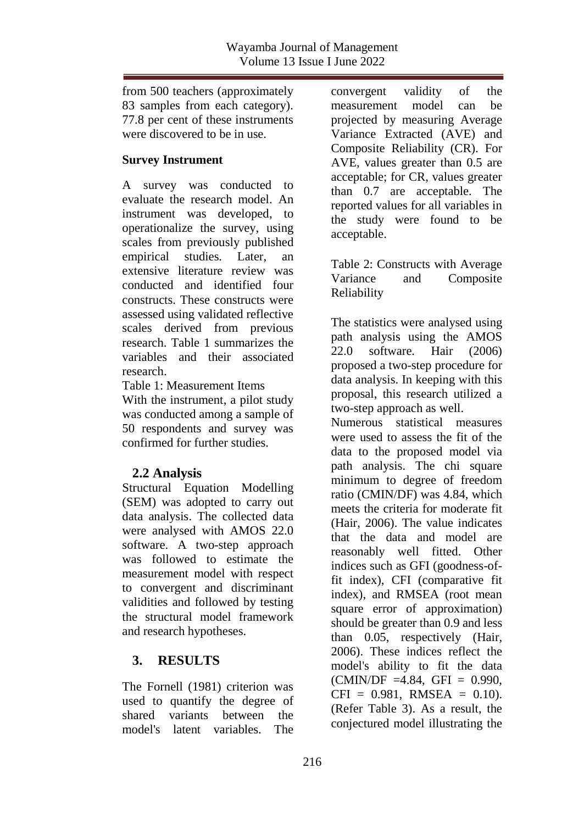from 500 teachers (approximately 83 samples from each category). 77.8 per cent of these instruments were discovered to be in use.

### **Survey Instrument**

A survey was conducted to evaluate the research model. An instrument was developed, to operationalize the survey, using scales from previously published empirical studies. Later, an extensive literature review was conducted and identified four constructs. These constructs were assessed using validated reflective scales derived from previous research. Table 1 summarizes the variables and their associated research.

Table 1: Measurement Items

With the instrument, a pilot study was conducted among a sample of 50 respondents and survey was confirmed for further studies.

### **2.2 Analysis**

Structural Equation Modelling (SEM) was adopted to carry out data analysis. The collected data were analysed with AMOS 22.0 software. A two-step approach was followed to estimate the measurement model with respect to convergent and discriminant validities and followed by testing the structural model framework and research hypotheses.

## **3. RESULTS**

The Fornell (1981) criterion was used to quantify the degree of shared variants between the model's latent variables. The convergent validity of the measurement model can be projected by measuring Average Variance Extracted (AVE) and Composite Reliability (CR). For AVE, values greater than 0.5 are acceptable; for CR, values greater than 0.7 are acceptable. The reported values for all variables in the study were found to be acceptable.

Table 2: Constructs with Average Variance and Composite **Reliability** 

The statistics were analysed using path analysis using the AMOS 22.0 software. Hair (2006) proposed a two-step procedure for data analysis. In keeping with this proposal, this research utilized a two-step approach as well.

Numerous statistical measures were used to assess the fit of the data to the proposed model via path analysis. The chi square minimum to degree of freedom ratio (CMIN/DF) was 4.84, which meets the criteria for moderate fit (Hair, 2006). The value indicates that the data and model are reasonably well fitted. Other indices such as GFI (goodness-offit index), CFI (comparative fit index), and RMSEA (root mean square error of approximation) should be greater than 0.9 and less than 0.05, respectively (Hair, 2006). These indices reflect the model's ability to fit the data  $(CMIN/DF = 4.84, GFI = 0.990,$  $CFI = 0.981$ , RMSEA = 0.10). (Refer Table 3). As a result, the conjectured model illustrating the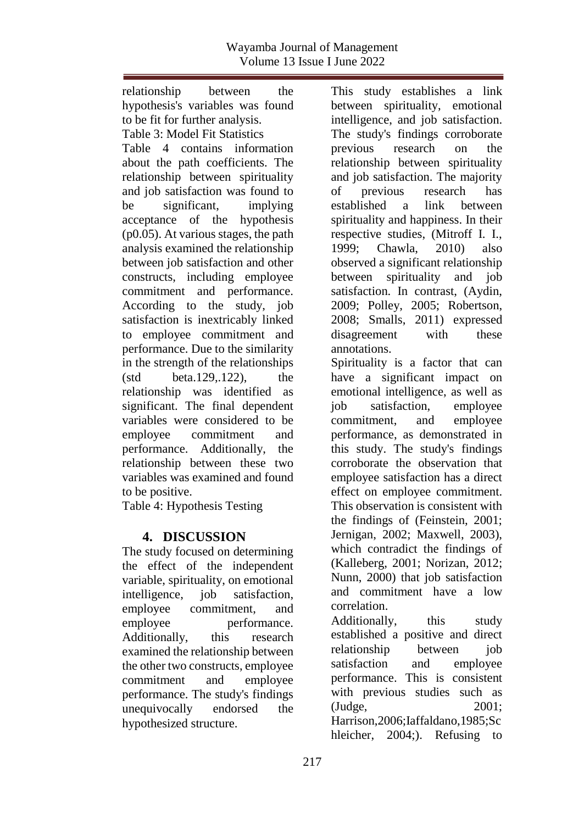relationship between the hypothesis's variables was found to be fit for further analysis. Table 3: Model Fit Statistics

Table 4 contains information about the path coefficients. The relationship between spirituality and job satisfaction was found to be significant, implying acceptance of the hypothesis (p0.05). At various stages, the path analysis examined the relationship between job satisfaction and other constructs, including employee commitment and performance. According to the study, job satisfaction is inextricably linked to employee commitment and performance. Due to the similarity in the strength of the relationships (std beta.129,.122), the relationship was identified as significant. The final dependent variables were considered to be employee commitment and performance. Additionally, the relationship between these two variables was examined and found to be positive.

Table 4: Hypothesis Testing

### **4. DISCUSSION**

The study focused on determining the effect of the independent variable, spirituality, on emotional intelligence, job satisfaction, employee commitment, and employee performance. Additionally, this research examined the relationship between the other two constructs, employee commitment and employee performance. The study's findings unequivocally endorsed the hypothesized structure.

This study establishes a link between spirituality, emotional intelligence, and job satisfaction. The study's findings corroborate previous research on the relationship between spirituality and job satisfaction. The majority of previous research has established a link between spirituality and happiness. In their respective studies, (Mitroff I. I., 1999; Chawla, 2010) also observed a significant relationship between spirituality and job satisfaction. In contrast, (Aydin, 2009; Polley, 2005; Robertson, 2008; Smalls, 2011) expressed disagreement with these annotations.

Spirituality is a factor that can have a significant impact on emotional intelligence, as well as job satisfaction, employee commitment, and employee performance, as demonstrated in this study. The study's findings corroborate the observation that employee satisfaction has a direct effect on employee commitment. This observation is consistent with the findings of (Feinstein, 2001; Jernigan, 2002; Maxwell, 2003), which contradict the findings of (Kalleberg, 2001; Norizan, 2012; Nunn, 2000) that job satisfaction and commitment have a low correlation.

Additionally, this study established a positive and direct relationship between job satisfaction and employee performance. This is consistent with previous studies such as (Judge, 2001; Harrison,2006;Iaffaldano,1985;Sc hleicher, 2004;). Refusing to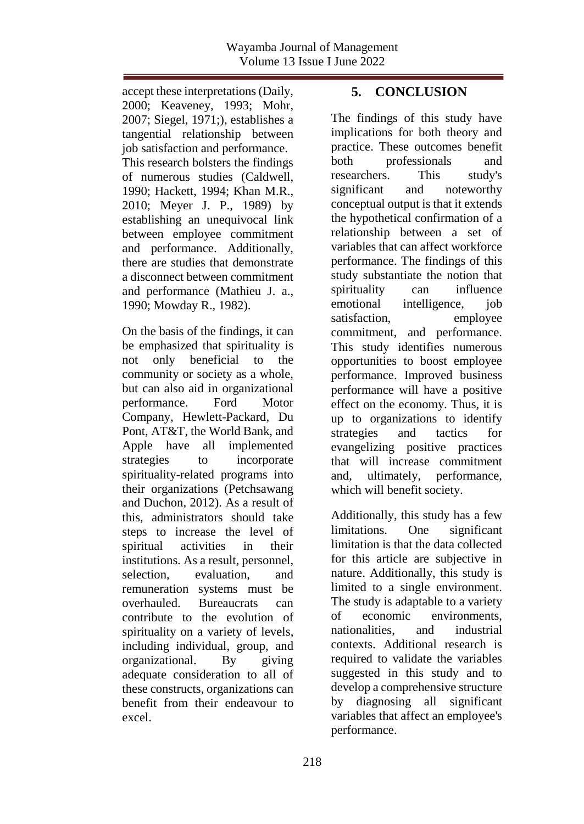accept these interpretations (Daily, 2000; Keaveney, 1993; Mohr, 2007; Siegel, 1971;), establishes a tangential relationship between job satisfaction and performance. This research bolsters the findings of numerous studies (Caldwell, 1990; Hackett, 1994; Khan M.R., 2010; Meyer J. P., 1989) by establishing an unequivocal link between employee commitment and performance. Additionally, there are studies that demonstrate a disconnect between commitment and performance (Mathieu J. a., 1990; Mowday R., 1982).

On the basis of the findings, it can be emphasized that spirituality is not only beneficial to the community or society as a whole, but can also aid in organizational performance. Ford Motor Company, Hewlett-Packard, Du Pont, AT&T, the World Bank, and Apple have all implemented strategies to incorporate spirituality-related programs into their organizations (Petchsawang and Duchon, 2012). As a result of this, administrators should take steps to increase the level of spiritual activities in their institutions. As a result, personnel, selection, evaluation, and remuneration systems must be overhauled. Bureaucrats can contribute to the evolution of spirituality on a variety of levels, including individual, group, and organizational. By giving adequate consideration to all of these constructs, organizations can benefit from their endeavour to excel.

## **5. CONCLUSION**

The findings of this study have implications for both theory and practice. These outcomes benefit both professionals and researchers. This study's significant and noteworthy conceptual output is that it extends the hypothetical confirmation of a relationship between a set of variables that can affect workforce performance. The findings of this study substantiate the notion that spirituality can influence emotional intelligence, job satisfaction, employee commitment, and performance. This study identifies numerous opportunities to boost employee performance. Improved business performance will have a positive effect on the economy. Thus, it is up to organizations to identify strategies and tactics for evangelizing positive practices that will increase commitment and, ultimately, performance, which will benefit society.

Additionally, this study has a few limitations. One significant limitation is that the data collected for this article are subjective in nature. Additionally, this study is limited to a single environment. The study is adaptable to a variety of economic environments, nationalities, and industrial contexts. Additional research is required to validate the variables suggested in this study and to develop a comprehensive structure by diagnosing all significant variables that affect an employee's performance.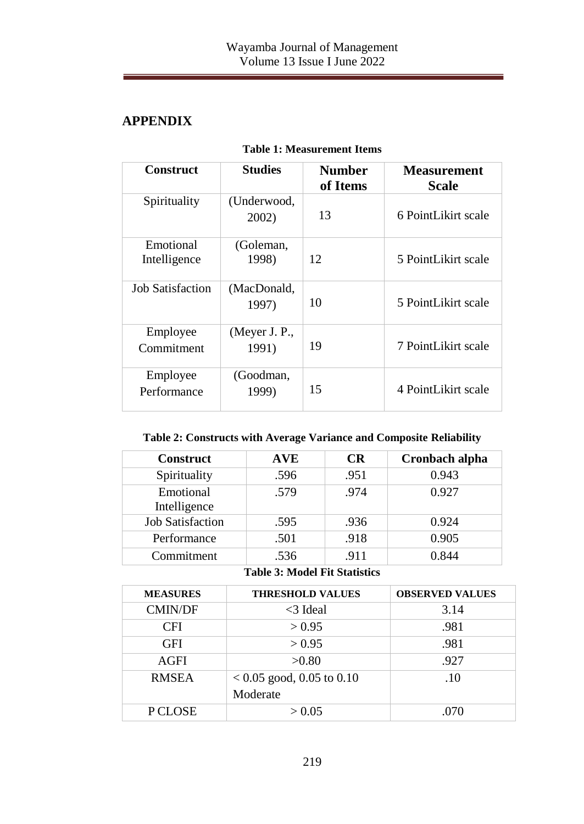# **APPENDIX**

| <b>Construct</b>          | <b>Studies</b>         | <b>Number</b><br>of Items | <b>Measurement</b><br>Scale |
|---------------------------|------------------------|---------------------------|-----------------------------|
| Spirituality              | (Underwood,<br>2002)   | 13                        | 6 PointLikirt scale         |
| Emotional<br>Intelligence | (Goleman,<br>1998)     | 12                        | 5 PointLikirt scale         |
| <b>Job Satisfaction</b>   | (MacDonald,<br>1997)   | 10                        | 5 PointLikirt scale         |
| Employee<br>Commitment    | (Meyer J. P.,<br>1991) | 19                        | 7 PointLikirt scale         |
| Employee<br>Performance   | (Goodman,<br>1999)     | 15                        | 4 PointLikirt scale         |

#### **Table 1: Measurement Items**

### **Table 2: Constructs with Average Variance and Composite Reliability**

| <b>Construct</b>          | <b>AVE</b> | <b>CR</b> | Cronbach alpha |  |
|---------------------------|------------|-----------|----------------|--|
| Spirituality              | .596       | .951      | 0.943          |  |
| Emotional<br>Intelligence | .579       | .974      | 0.927          |  |
| <b>Job Satisfaction</b>   | .595       | .936      | 0.924          |  |
| Performance               | .501       | .918      | 0.905          |  |
| Commitment                | .536       | .911      | 0.844          |  |

**Table 3: Model Fit Statistics**

| <b>MEASURES</b> | <b>THRESHOLD VALUES</b>     | <b>OBSERVED VALUES</b> |
|-----------------|-----------------------------|------------------------|
| <b>CMIN/DF</b>  | $\leq$ 3 Ideal              | 3.14                   |
| CFI.            | > 0.95                      | .981                   |
| <b>GFI</b>      | > 0.95                      | .981                   |
| AGFI            | >0.80                       | .927                   |
| <b>RMSEA</b>    | $< 0.05$ good, 0.05 to 0.10 | .10                    |
|                 | Moderate                    |                        |
| P CLOSE         | > 0.05                      | .070                   |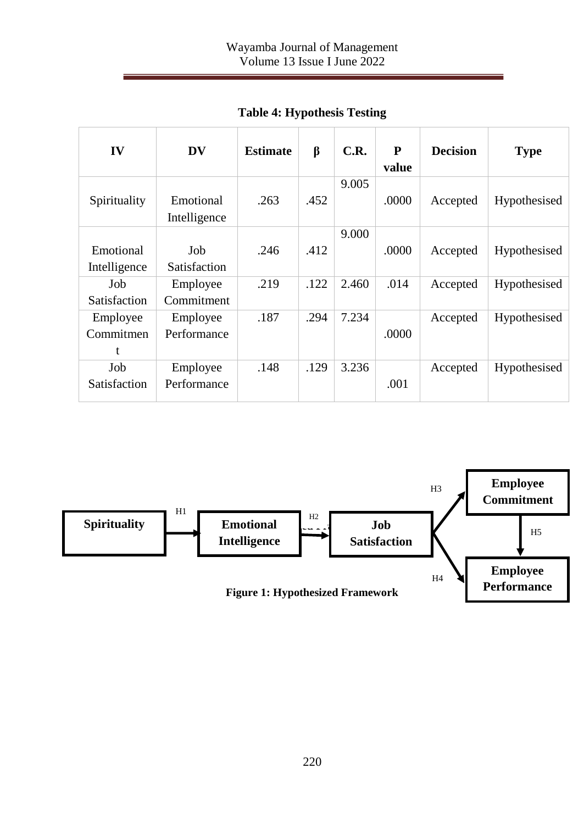| IV                         | DV                        | <b>Estimate</b> | $\beta$ | C.R.  | P<br>value | <b>Decision</b> | <b>Type</b>  |
|----------------------------|---------------------------|-----------------|---------|-------|------------|-----------------|--------------|
| Spirituality               | Emotional<br>Intelligence | .263            | .452    | 9.005 | .0000      | Accepted        | Hypothesised |
| Emotional<br>Intelligence  | Job<br>Satisfaction       | .246            | .412    | 9.000 | .0000      | Accepted        | Hypothesised |
| Job<br>Satisfaction        | Employee<br>Commitment    | .219            | .122    | 2.460 | .014       | Accepted        | Hypothesised |
| Employee<br>Commitmen<br>t | Employee<br>Performance   | .187            | .294    | 7.234 | .0000      | Accepted        | Hypothesised |
| Job<br>Satisfaction        | Employee<br>Performance   | .148            | .129    | 3.236 | .001       | Accepted        | Hypothesised |

**Table 4: Hypothesis Testing**

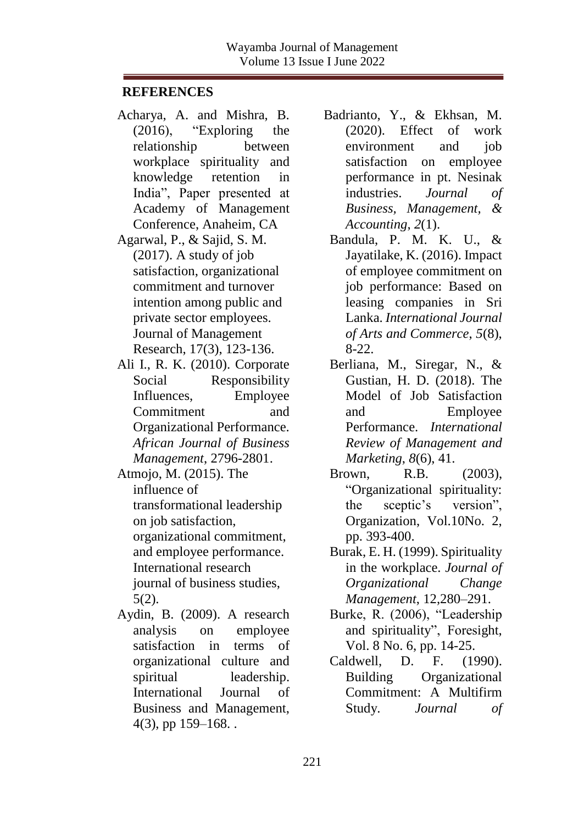### **REFERENCES**

- Acharya, A. and Mishra, B. (2016), "Exploring the relationship between workplace spirituality and knowledge retention in India", Paper presented at Academy of Management Conference, Anaheim, CA
- Agarwal, P., & Sajid, S. M. (2017). A study of job satisfaction, organizational commitment and turnover intention among public and private sector employees. Journal of Management Research, 17(3), 123-136.
- Ali I., R. K. (2010). Corporate Social Responsibility Influences, Employee Commitment and Organizational Performance. *African Journal of Business Management*, 2796-2801.
- Atmojo, M. (2015). The influence of transformational leadership on job satisfaction, organizational commitment, and employee performance. International research journal of business studies, 5(2).
- Aydin, B. (2009). A research analysis on employee satisfaction in terms of organizational culture and spiritual leadership. International Journal of Business and Management,  $4(3)$ , pp  $159-168$ ...
- Badrianto, Y., & Ekhsan, M. (2020). Effect of work environment and job satisfaction on employee performance in pt. Nesinak industries. *Journal of Business, Management, & Accounting*, *2*(1).
- Bandula, P. M. K. U., & Jayatilake, K. (2016). Impact of employee commitment on job performance: Based on leasing companies in Sri Lanka. *International Journal of Arts and Commerce*, *5*(8), 8-22.
- Berliana, M., Siregar, N., & Gustian, H. D. (2018). The Model of Job Satisfaction and Employee Performance. *International Review of Management and Marketing*, *8*(6), 41.
- Brown, R.B. (2003), "Organizational spirituality: the sceptic's version", Organization, Vol.10No. 2, pp. 393-400.
- Burak, E. H. (1999). Spirituality in the workplace. *Journal of Organizational Change Management*, 12,280–291.
- Burke, R. (2006), "Leadership and spirituality", Foresight, Vol. 8 No. 6, pp. 14-25.
- Caldwell, D. F. (1990). Building Organizational Commitment: A Multifirm Study. *Journal of*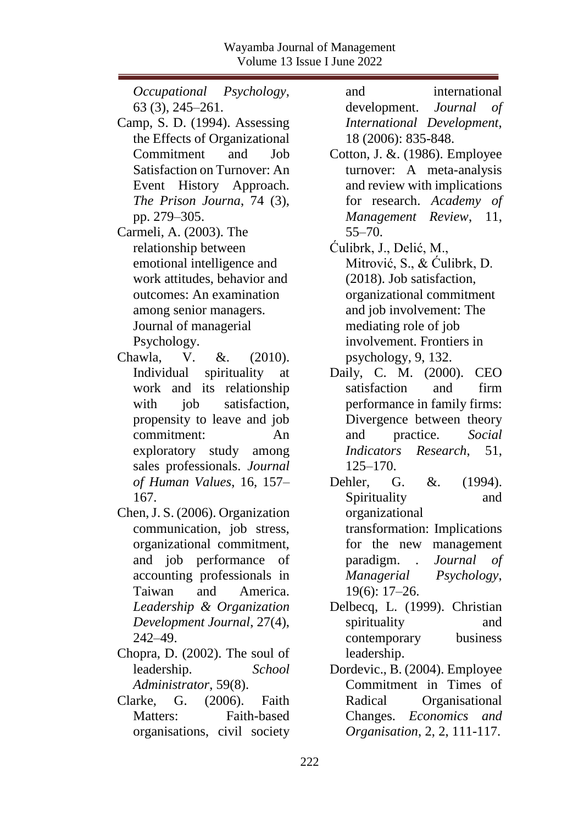*Occupational Psychology*, 63 (3), 245–261.

Camp, S. D. (1994). Assessing the Effects of Organizational Commitment and Job Satisfaction on Turnover: An Event History Approach. *The Prison Journa*, 74 (3), pp. 279–305.

Carmeli, A. (2003). The relationship between emotional intelligence and work attitudes, behavior and outcomes: An examination among senior managers. Journal of managerial Psychology.

- Chawla, V. &. (2010). Individual spirituality at work and its relationship with job satisfaction. propensity to leave and job commitment: An exploratory study among sales professionals. *Journal of Human Values*, 16, 157– 167.
- Chen, J. S. (2006). Organization communication, job stress, organizational commitment, and job performance of accounting professionals in Taiwan and America. *Leadership & Organization Development Journal*, 27(4), 242–49.
- Chopra, D. (2002). The soul of leadership. *School Administrator*, 59(8).
- Clarke, G. (2006). Faith Matters: Faith-based organisations, civil society

and international development. *Journal of International Development*, 18 (2006): 835-848.

- Cotton, J. &. (1986). Employee turnover: A meta-analysis and review with implications for research. *Academy of Management Review*, 11, 55–70.
- Ćulibrk, J., Delić, M., Mitrović, S., & Ćulibrk, D. (2018). Job satisfaction, organizational commitment and job involvement: The mediating role of job involvement. Frontiers in psychology, 9, 132.
- Daily, C. M. (2000). CEO satisfaction and firm performance in family firms: Divergence between theory and practice. *Social Indicators Research*, 51, 125–170.
- Dehler, G. &. (1994). Spirituality and organizational transformation: Implications for the new management paradigm. . *Journal of Managerial Psychology*, 19(6): 17–26.
- Delbecq, L. (1999). Christian spirituality and contemporary business leadership.
- Dordevic., B. (2004). Employee Commitment in Times of Radical Organisational Changes. *Economics and Organisation*, 2, 2, 111-117.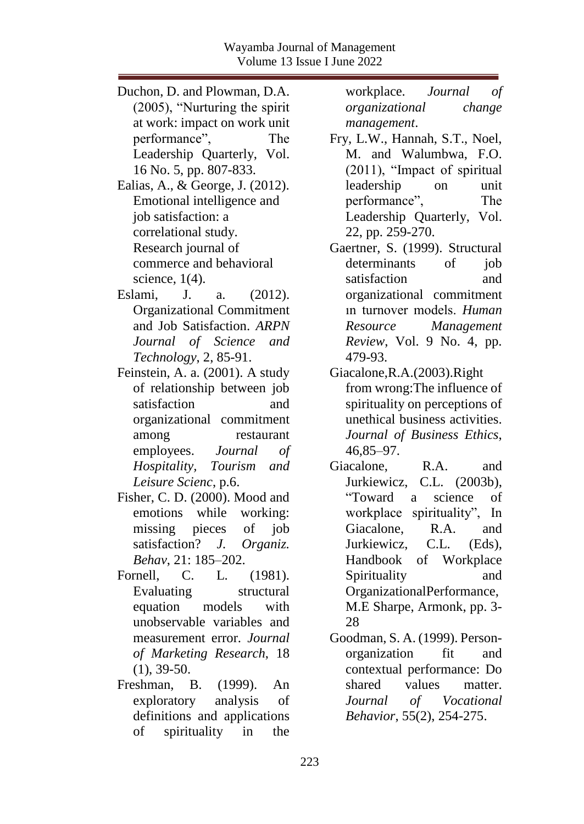- Duchon, D. and Plowman, D.A. (2005), "Nurturing the spirit at work: impact on work unit performance", The Leadership Quarterly, Vol. 16 No. 5, pp. 807-833. Ealias, A., & George, J. (2012). Emotional intelligence and job satisfaction: a correlational study. Research journal of commerce and behavioral science, 1(4). Eslami, J. a. (2012). Organizational Commitment and Job Satisfaction. *ARPN Journal of Science and Technology*, 2, 85-91. Feinstein, A. a. (2001). A study of relationship between job satisfaction and organizational commitment among restaurant employees. *Journal of Hospitality, Tourism and Leisure Scienc*, p.6. Fisher, C. D. (2000). Mood and emotions while working: missing pieces of job satisfaction? *J. Organiz. Behav*, 21: 185–202. Fornell, C. L. (1981). Evaluating structural equation models with workplace. *Journal of organizational change management*. Fry, L.W., Hannah, S.T., Noel, M. and Walumbwa, F.O. (2011), "Impact of spiritual leadership on unit performance", The Leadership Quarterly, Vol. 22, pp. 259-270. Gaertner, S. (1999). Structural determinants of iob satisfaction and organizational commitment ın turnover models. *Human Resource Management Review*, Vol. 9 No. 4, pp. 479-93. Giacalone,R.A.(2003).Right from wrong:The influence of spirituality on perceptions of unethical business activities. *Journal of Business Ethics*, 46,85–97. Giacalone, R.A. and Jurkiewicz, C.L. (2003b), "Toward a science of workplace spirituality", In Giacalone, R.A. and Jurkiewicz, C.L. (Eds), Handbook of Workplace Spirituality and OrganizationalPerformance, M.E Sharpe, Armonk, pp. 3-
	- Goodman, S. A. (1999). Personorganization fit and contextual performance: Do shared values matter. *Journal of Vocational Behavior*, 55(2), 254-275.

28

unobservable variables and measurement error. *Journal of Marketing Research*, 18

Freshman, B. (1999). An exploratory analysis of definitions and applications of spirituality in the

 $(1), 39-50.$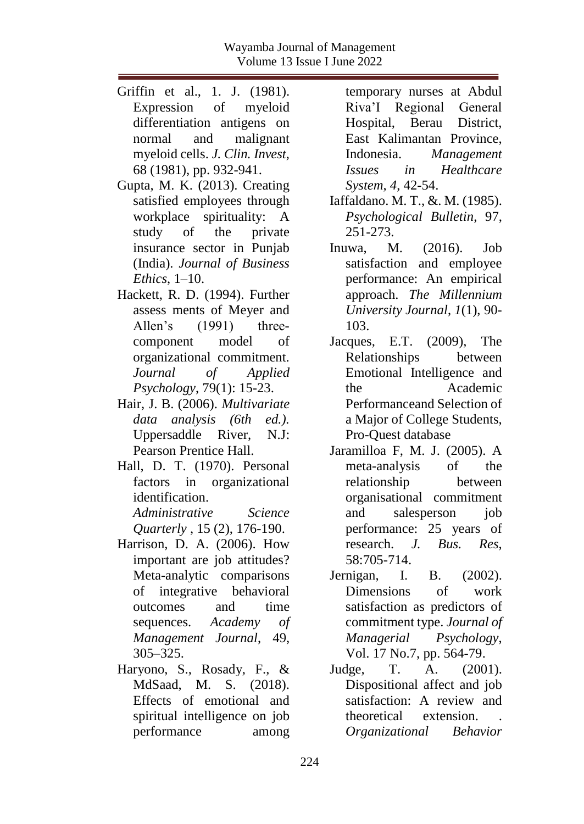- Griffin et al., 1. J. (1981). Expression of myeloid differentiation antigens on normal and malignant myeloid cells. *J. Clin. Invest*, 68 (1981), pp. 932-941.
- Gupta, M. K. (2013). Creating satisfied employees through workplace spirituality: A study of the private insurance sector in Punjab (India). *Journal of Business Ethics*, 1–10.
- Hackett, R. D. (1994). Further assess ments of Meyer and Allen's (1991) threecomponent model of organizational commitment. *Journal of Applied Psychology*, 79(1): 15-23.
- Hair, J. B. (2006). *Multivariate data analysis (6th ed.).* Uppersaddle River, N.J: Pearson Prentice Hall.
- Hall, D. T. (1970). Personal factors in organizational identification. *Administrative Science*

*Quarterly* , 15 (2), 176-190.

- Harrison, D. A. (2006). How important are job attitudes? Meta-analytic comparisons of integrative behavioral outcomes and time sequences. *Academy of Management Journal*, 49, 305–325.
- Haryono, S., Rosady, F., & MdSaad, M. S. (2018). Effects of emotional and spiritual intelligence on job performance among

temporary nurses at Abdul Riva'I Regional General Hospital, Berau District, East Kalimantan Province, Indonesia. *Management Issues in Healthcare System*, *4*, 42-54.

- Iaffaldano. M. T., &. M. (1985). *Psychological Bulletin*, 97, 251-273.
- Inuwa, M. (2016). Job satisfaction and employee performance: An empirical approach. *The Millennium University Journal*, *1*(1), 90- 103.
- Jacques, E.T. (2009), The Relationships between Emotional Intelligence and the Academic Performanceand Selection of a Major of College Students, Pro-Quest database
- Jaramilloa F, M. J. (2005). A meta-analysis of the relationship between organisational commitment and salesperson job performance: 25 years of research. *J. Bus. Res*, 58:705-714.
- Jernigan, I. B. (2002). Dimensions of work satisfaction as predictors of commitment type. *Journal of Managerial Psychology*, Vol. 17 No.7, pp. 564-79.
- Judge, T. A. (2001). Dispositional affect and job satisfaction: A review and theoretical extension. . *Organizational Behavior*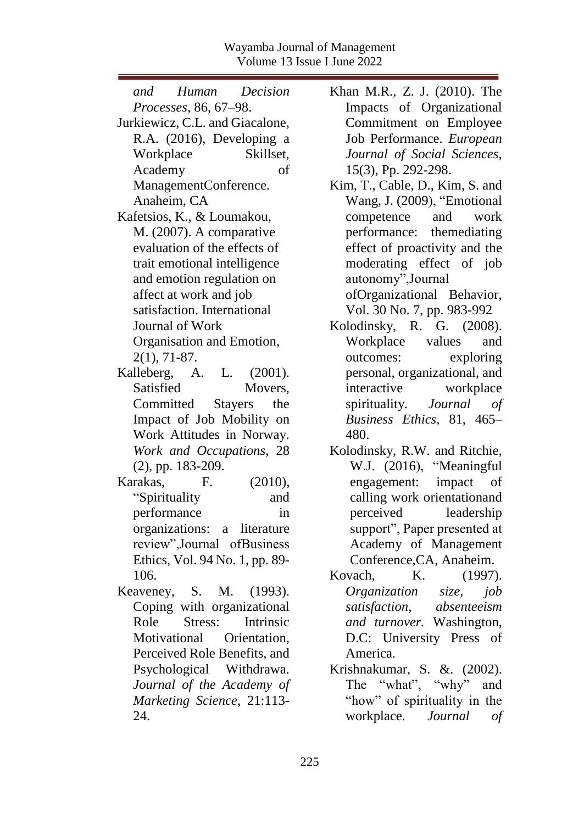| and Human Decision              |            |
|---------------------------------|------------|
| Processes, 86, 67-98.           |            |
| Jurkiewicz, C.L. and Giacalone, |            |
| R.A. (2016), Developing a       |            |
| Workplace                       | Skillset,  |
| Academy                         | of         |
| ManagementConference.           |            |
| Anaheim, CA                     |            |
| Kafetsios, K., & Loumakou,      |            |
| M. (2007). A comparative        |            |
| evaluation of the effects of    |            |
| trait emotional intelligence    |            |
| and emotion regulation on       |            |
| affect at work and job          |            |
| satisfaction. International     |            |
| Journal of Work                 |            |
| Organisation and Emotion,       |            |
| $2(1), 71-87.$                  |            |
| Kalleberg, A. L. (2001).        |            |
| Satisfied                       | Movers,    |
| Committed Stayers the           |            |
| Impact of Job Mobility on       |            |
| Work Attitudes in Norway.       |            |
| Work and Occupations, 28        |            |
| $(2)$ , pp. 183-209.            |            |
| Karakas,<br>$\Gamma$ .          | (2010),    |
| "Spirituality                   | and        |
| performance                     | in         |
| organizations: a literature     |            |
| review", Journal of Business    |            |
| Ethics, Vol. 94 No. 1, pp. 89-  |            |
| 106.                            |            |
| Keaveney, S.                    | M. (1993). |
| Coping with organizational      |            |
| Role<br>Stress:                 | Intrinsic  |
| Motivational Orientation,       |            |
| Perceived Role Benefits, and    |            |
| Psychological Withdrawa.        |            |
| Journal of the Academy of       |            |
| Marketing Science, 21:113-      |            |

24.

Khan M.R., Z. J. (2010). The Impacts of Organizational Commitment on Employee Job Performance. *European Journal of Social Sciences*, 15(3), Pp. 292-298.

- Kim, T., Cable, D., Kim, S. and Wang, J. (2009), "Emotional competence and work performance: themediating effect of proactivity and the moderating effect of job autonomy",Journal ofOrganizational Behavior,
- Vol. 30 No. 7, pp. 983-992 Kolodinsky, R. G. (2008). Workplace values and outcomes: exploring personal, organizational, and interactive workplace spirituality. *Journal of Business Ethics*, 81, 465– 480.
- Kolodinsky, R.W. and Ritchie, W.J. (2016), "Meaningful engagement: impact of calling work orientationand perceived leadership support", Paper presented at Academy of Management Conference,CA, Anaheim.
- Kovach, K. (1997). *Organization size, job satisfaction, absenteeism and turnover.* Washington, D.C: University Press of America.
- Krishnakumar, S. &. (2002). The "what", "why" and "how" of spirituality in the workplace. *Journal of*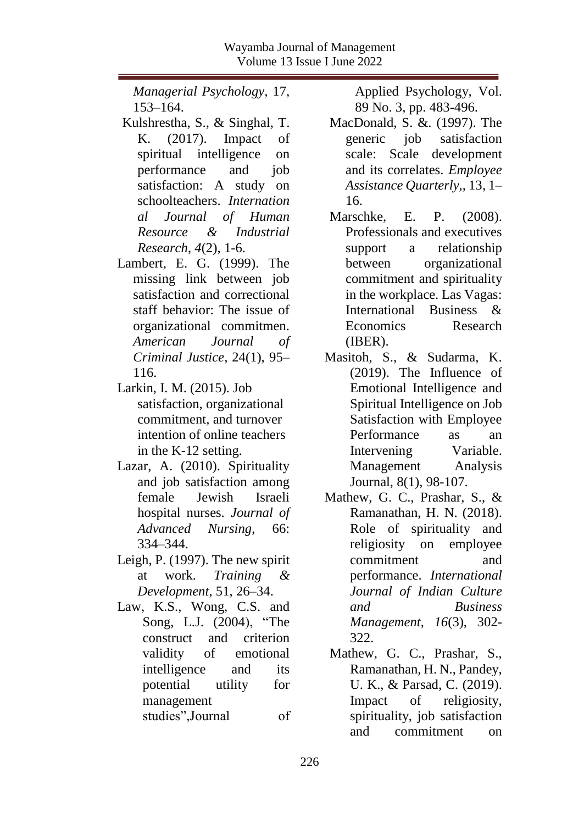*Managerial Psychology*, 17, 153–164.

- Kulshrestha, S., & Singhal, T. K. (2017). Impact of spiritual intelligence on performance and job satisfaction: A study on schoolteachers. *Internation al Journal of Human Resource & Industrial Research*, *4*(2), 1-6.
- Lambert, E. G. (1999). The missing link between job satisfaction and correctional staff behavior: The issue of organizational commitmen. *American Journal of Criminal Justice*, 24(1), 95– 116.
- Larkin, I. M. (2015). Job satisfaction, organizational commitment, and turnover intention of online teachers in the K-12 setting.
- Lazar, A. (2010). Spirituality and job satisfaction among female Jewish Israeli hospital nurses. *Journal of Advanced Nursing*, 66: 334–344.
- Leigh, P. (1997). The new spirit at work. *Training & Development*, 51, 26–34.
- Law, K.S., Wong, C.S. and Song, L.J. (2004), "The construct and criterion validity of emotional intelligence and its potential utility for management studies",Journal of

Applied Psychology, Vol. 89 No. 3, pp. 483-496.

- MacDonald, S. &. (1997). The generic job satisfaction scale: Scale development and its correlates. *Employee Assistance Quarterly,*, 13, 1– 16.
- Marschke, E. P. (2008). Professionals and executives support a relationship between organizational commitment and spirituality in the workplace. Las Vagas: International Business & Economics Research (IBER).
- Masitoh, S., & Sudarma, K. (2019). The Influence of Emotional Intelligence and Spiritual Intelligence on Job Satisfaction with Employee Performance as an Intervening Variable. Management Analysis Journal, 8(1), 98-107.
- Mathew, G. C., Prashar, S., & Ramanathan, H. N. (2018). Role of spirituality and religiosity on employee commitment and performance. *International Journal of Indian Culture and Business Management*, *16*(3), 302- 322.
- Mathew, G. C., Prashar, S., Ramanathan, H. N., Pandey, U. K., & Parsad, C. (2019). Impact of religiosity, spirituality, job satisfaction and commitment on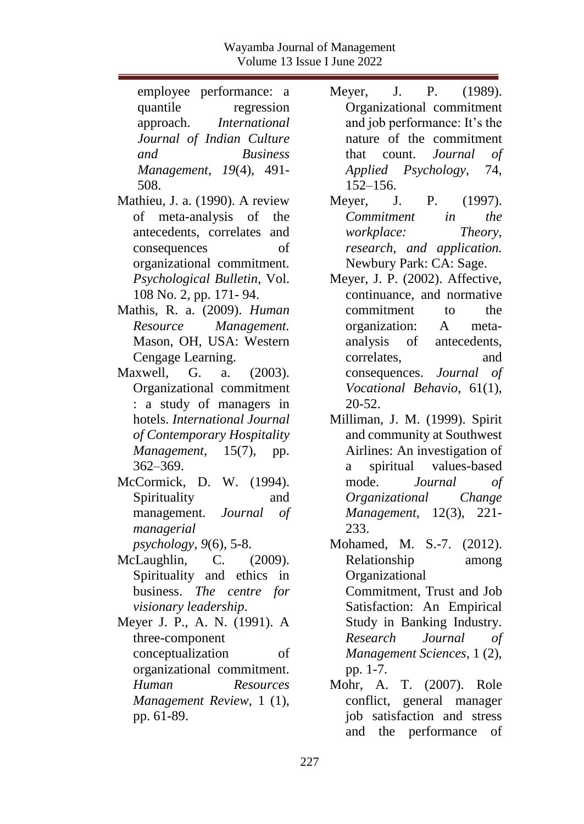employee performance: a quantile regression approach. *International Journal of Indian Culture and Business Management*, *19*(4), 491- 508.

- Mathieu, J. a. (1990). A review of meta-analysis of the antecedents, correlates and consequences of organizational commitment. *Psychological Bulletin*, Vol. 108 No. 2, pp. 171- 94.
- Mathis, R. a. (2009). *Human Resource Management.* Mason, OH, USA: Western Cengage Learning.
- Maxwell, G. a. (2003). Organizational commitment : a study of managers in hotels. *International Journal of Contemporary Hospitality Management*, 15(7), pp. 362–369.
- McCormick, D. W. (1994). Spirituality and management. *Journal of managerial psychology*, *9*(6), 5-8.
- McLaughlin, C. (2009). Spirituality and ethics in business. *The centre for visionary leadership*.
- Meyer J. P., A. N. (1991). A three-component conceptualization of organizational commitment. *Human Resources Management Review*, 1 (1), pp. 61-89.
- Meyer, J. P. (1989). Organizational commitment and job performance: It's the nature of the commitment that count. *Journal of Applied Psychology*, 74, 152–156.
- Meyer, J. P. (1997). *Commitment in the workplace: Theory, research, and application.* Newbury Park: CA: Sage.
- Meyer, J. P. (2002). Affective, continuance, and normative commitment to the organization: A metaanalysis of antecedents, correlates, and consequences. *Journal of Vocational Behavio*, 61(1), 20-52.
- Milliman, J. M. (1999). Spirit and community at Southwest Airlines: An investigation of a spiritual values-based mode. *Journal of Organizational Change Management*, 12(3), 221- 233.

Mohamed, M. S.-7. (2012). Relationship among Organizational Commitment, Trust and Job Satisfaction: An Empirical Study in Banking Industry. *Research Journal of Management Sciences*, 1 (2), pp. 1-7.

Mohr, A. T. (2007). Role conflict, general manager job satisfaction and stress and the performance of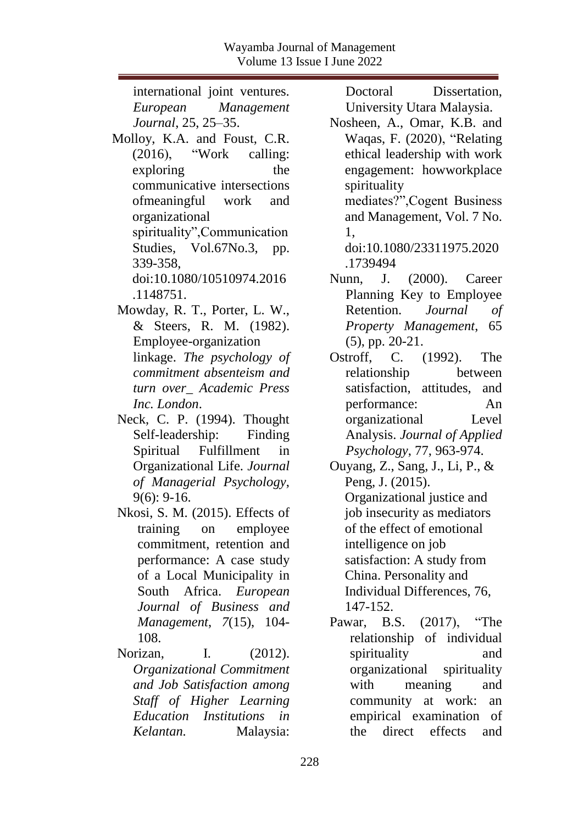international joint ventures. *European Management Journal*, 25, 25–35. Molloy, K.A. and Foust, C.R. (2016), "Work calling: exploring the communicative intersections ofmeaningful work and organizational spirituality",Communication Studies, Vol.67No.3, pp. 339-358, doi:10.1080/10510974.2016 .1148751. Mowday, R. T., Porter, L. W., & Steers, R. M. (1982). Employee-organization linkage. *The psychology of commitment absenteism and turn over\_ Academic Press Inc. London*. Neck, C. P. (1994). Thought Self-leadership: Finding Spiritual Fulfillment in

- Organizational Life. *Journal of Managerial Psychology*, 9(6): 9-16.
- Nkosi, S. M. (2015). Effects of training on employee commitment, retention and performance: A case study of a Local Municipality in South Africa. *European Journal of Business and Management*, *7*(15), 104- 108.
- Norizan, I. (2012). *Organizational Commitment and Job Satisfaction among Staff of Higher Learning Education Institutions in Kelantan.* Malaysia:

Doctoral Dissertation, University Utara Malaysia.

Nosheen, A., Omar, K.B. and Waqas, F. (2020), "Relating ethical leadership with work engagement: howworkplace spirituality

mediates?",Cogent Business and Management, Vol. 7 No. 1,

doi:10.1080/23311975.2020 .1739494

Nunn, J. (2000). Career Planning Key to Employee Retention. *Journal of Property Management*, 65 (5), pp. 20-21.

Ostroff, C. (1992). The relationship between satisfaction, attitudes, and performance: An organizational Level Analysis. *Journal of Applied Psychology*, 77, 963-974.

Ouyang, Z., Sang, J., Li, P., & Peng, J. (2015). Organizational justice and job insecurity as mediators of the effect of emotional intelligence on job satisfaction: A study from China. Personality and Individual Differences, 76, 147-152.

Pawar, B.S. (2017), "The relationship of individual spirituality and organizational spirituality with meaning and community at work: an empirical examination of the direct effects and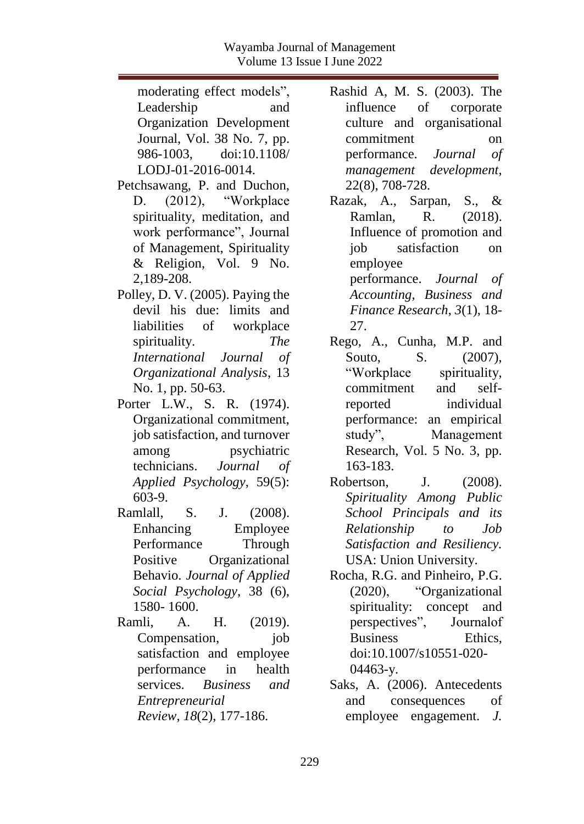moderating effect models", Leadership and Organization Development Journal, Vol. 38 No. 7, pp. 986-1003, doi:10.1108/ LODJ-01-2016-0014.

- Petchsawang, P. and Duchon, D. (2012), "Workplace" spirituality, meditation, and work performance", Journal of Management, Spirituality & Religion, Vol. 9 No. 2,189-208.
- Polley, D. V. (2005). Paying the devil his due: limits and liabilities of workplace spirituality. *The International Journal of Organizational Analysis*, 13 No. 1, pp. 50-63.
- Porter L.W., S. R. (1974). Organizational commitment, job satisfaction, and turnover among psychiatric technicians. *Journal of Applied Psychology*, 59(5): 603-9.
- Ramlall, S. J. (2008). Enhancing Employee Performance Through Positive Organizational Behavio. *Journal of Applied Social Psychology*, 38 (6), 1580- 1600.
- Ramli, A. H. (2019). Compensation, iob satisfaction and employee performance in health services. *Business and Entrepreneurial Review*, *18*(2), 177-186.

Rashid A, M. S. (2003). The influence of corporate culture and organisational commitment on performance. *Journal of management development*, 22(8), 708-728.

- Razak, A., Sarpan, S., & Ramlan, R. (2018). Influence of promotion and job satisfaction on employee performance. *Journal of Accounting, Business and Finance Research*, *3*(1), 18- 27.
- Rego, A., Cunha, M.P. and Souto, S. (2007). "Workplace spirituality, commitment and selfreported individual performance: an empirical study", Management Research, Vol. 5 No. 3, pp. 163-183.
- Robertson, J. (2008). *Spirituality Among Public School Principals and its Relationship to Job Satisfaction and Resiliency.* USA: Union University.
- Rocha, R.G. and Pinheiro, P.G. (2020), "Organizational spirituality: concept and perspectives", Journalof Business Ethics, doi:10.1007/s10551-020- 04463-y.
- Saks, A. (2006). Antecedents and consequences of employee engagement. *J.*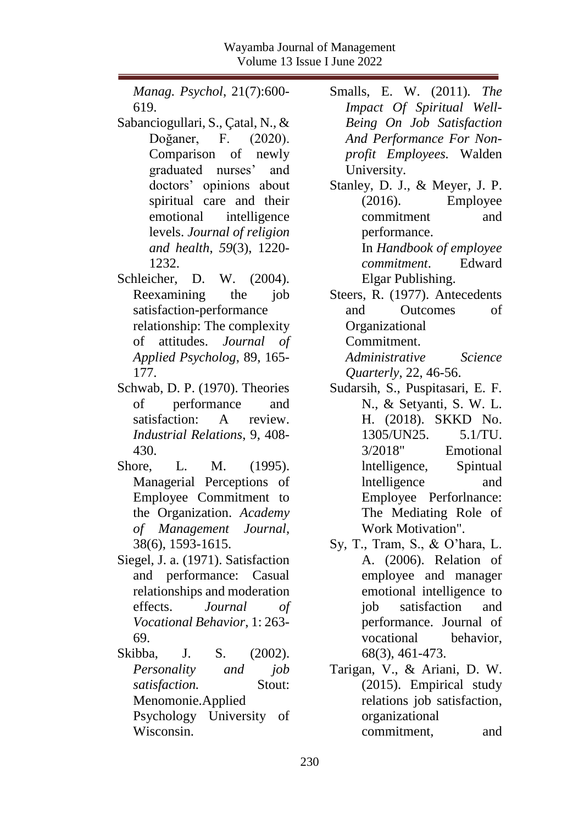*Manag. Psychol*, 21(7):600- 619.

- Sabanciogullari, S., Çatal, N., & Doğaner, F. (2020). Comparison of newly graduated nurses' and doctors' opinions about spiritual care and their emotional intelligence levels. *Journal of religion and health*, *59*(3), 1220- 1232.
- Schleicher, D. W. (2004). Reexamining the job satisfaction-performance relationship: The complexity of attitudes. *Journal of Applied Psycholog*, 89, 165- 177.
- Schwab, D. P. (1970). Theories of performance and satisfaction: A review. *Industrial Relations*, 9, 408- 430.
- Shore, L. M. (1995). Managerial Perceptions of Employee Commitment to the Organization. *Academy of Management Journal*, 38(6), 1593-1615.
- Siegel, J. a. (1971). Satisfaction and performance: Casual relationships and moderation effects. *Journal of Vocational Behavior*, 1: 263- 69.
- Skibba, J. S. (2002). *Personality and job satisfaction.* Stout: Menomonie.Applied Psychology University of Wisconsin.
- Smalls, E. W. (2011). *The Impact Of Spiritual Well-Being On Job Satisfaction And Performance For Nonprofit Employees.* Walden University.
- Stanley, D. J., & Meyer, J. P. (2016). Employee commitment and performance. In *Handbook of employee commitment*. Edward Elgar Publishing.
- Steers, R. (1977). Antecedents and Outcomes of Organizational Commitment.
	- *Administrative Science Quarterly*, 22, 46-56.
- Sudarsih, S., Puspitasari, E. F. N., & Setyanti, S. W. L. H. (2018). SKKD No. 1305/UN25. 5.1/TU. 3/2018" Emotional lntelligence, Spintual lntelligence and Employee Perforlnance: The Mediating Role of Work Motivation".
- Sy, T., Tram, S., & O'hara, L. A. (2006). Relation of employee and manager emotional intelligence to job satisfaction and performance. Journal of vocational behavior, 68(3), 461-473.
- Tarigan, V., & Ariani, D. W. (2015). Empirical study relations job satisfaction, organizational commitment, and